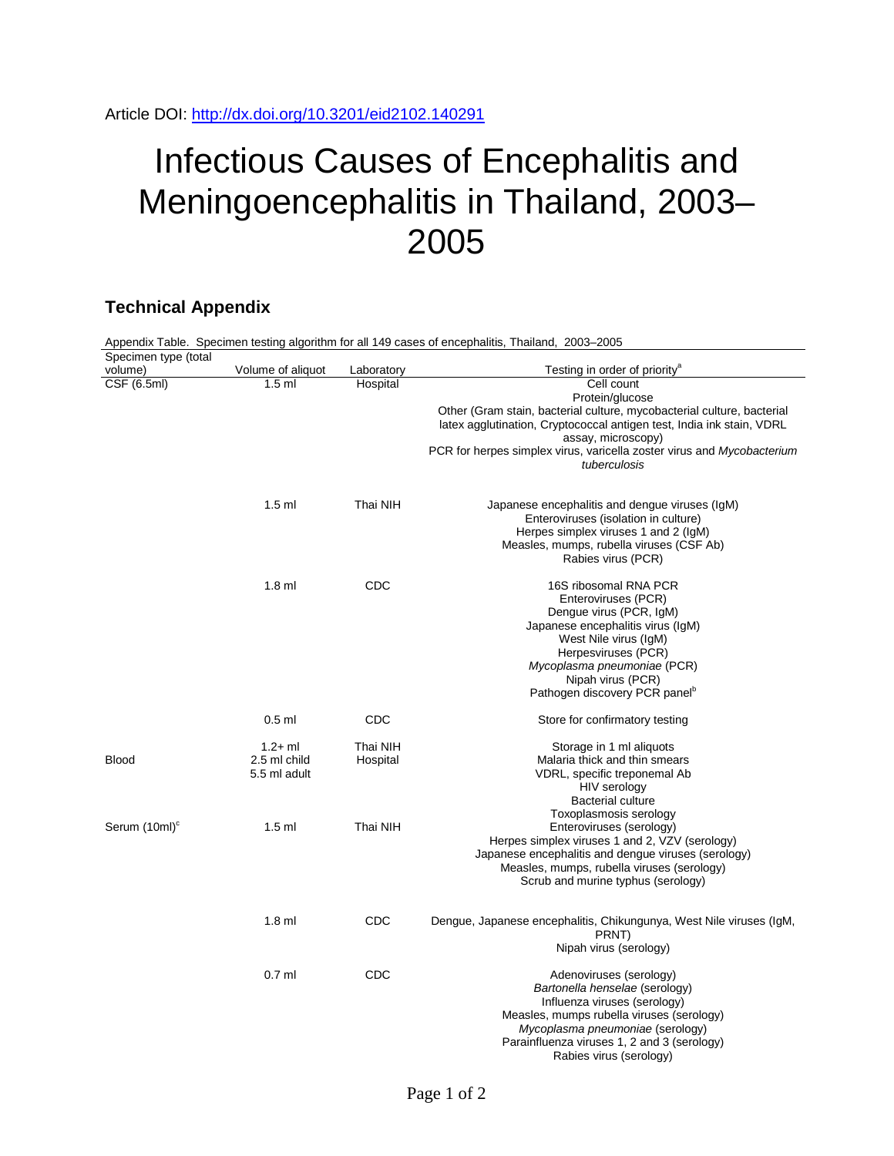## Infectious Causes of Encephalitis and Meningoencephalitis in Thailand, 2003– 2005

## **Technical Appendix**

| Appendix Table. Specimen testing algorithm for all 149 cases of encephalitis, Thailand, 2003–2005 |                   |            |                                                                        |  |  |
|---------------------------------------------------------------------------------------------------|-------------------|------------|------------------------------------------------------------------------|--|--|
| Specimen type (total                                                                              |                   |            |                                                                        |  |  |
| volume)                                                                                           | Volume of aliquot | Laboratory | Testing in order of priority <sup>®</sup>                              |  |  |
| CSF (6.5ml)                                                                                       | $1.5$ ml          | Hospital   | Cell count                                                             |  |  |
|                                                                                                   |                   |            | Protein/glucose                                                        |  |  |
|                                                                                                   |                   |            | Other (Gram stain, bacterial culture, mycobacterial culture, bacterial |  |  |
|                                                                                                   |                   |            | latex agglutination, Cryptococcal antigen test, India ink stain, VDRL  |  |  |
|                                                                                                   |                   |            | assay, microscopy)                                                     |  |  |
|                                                                                                   |                   |            | PCR for herpes simplex virus, varicella zoster virus and Mycobacterium |  |  |
|                                                                                                   |                   |            | tuberculosis                                                           |  |  |
|                                                                                                   |                   |            |                                                                        |  |  |
|                                                                                                   | $1.5$ ml          | Thai NIH   | Japanese encephalitis and dengue viruses (IgM)                         |  |  |
|                                                                                                   |                   |            | Enteroviruses (isolation in culture)                                   |  |  |
|                                                                                                   |                   |            | Herpes simplex viruses 1 and 2 (IgM)                                   |  |  |
|                                                                                                   |                   |            | Measles, mumps, rubella viruses (CSF Ab)                               |  |  |
|                                                                                                   |                   |            | Rabies virus (PCR)                                                     |  |  |
|                                                                                                   | $1.8$ ml          | <b>CDC</b> | 16S ribosomal RNA PCR                                                  |  |  |
|                                                                                                   |                   |            | Enteroviruses (PCR)                                                    |  |  |
|                                                                                                   |                   |            | Dengue virus (PCR, IgM)                                                |  |  |
|                                                                                                   |                   |            | Japanese encephalitis virus (IgM)                                      |  |  |
|                                                                                                   |                   |            | West Nile virus (IgM)                                                  |  |  |
|                                                                                                   |                   |            | Herpesviruses (PCR)                                                    |  |  |
|                                                                                                   |                   |            |                                                                        |  |  |
|                                                                                                   |                   |            | Mycoplasma pneumoniae (PCR)<br>Nipah virus (PCR)                       |  |  |
|                                                                                                   |                   |            | Pathogen discovery PCR panel <sup>p</sup>                              |  |  |
|                                                                                                   |                   |            |                                                                        |  |  |
|                                                                                                   | $0.5$ ml          | <b>CDC</b> | Store for confirmatory testing                                         |  |  |
|                                                                                                   | $1.2 + ml$        | Thai NIH   | Storage in 1 ml aliquots                                               |  |  |
| <b>Blood</b>                                                                                      | 2.5 ml child      | Hospital   | Malaria thick and thin smears                                          |  |  |
|                                                                                                   | 5.5 ml adult      |            | VDRL, specific treponemal Ab                                           |  |  |
|                                                                                                   |                   |            | HIV serology                                                           |  |  |
|                                                                                                   |                   |            | <b>Bacterial culture</b>                                               |  |  |
|                                                                                                   |                   |            | Toxoplasmosis serology                                                 |  |  |
| Serum (10ml) <sup>c</sup>                                                                         | $1.5$ ml          | Thai NIH   | Enteroviruses (serology)                                               |  |  |
|                                                                                                   |                   |            | Herpes simplex viruses 1 and 2, VZV (serology)                         |  |  |
|                                                                                                   |                   |            | Japanese encephalitis and dengue viruses (serology)                    |  |  |
|                                                                                                   |                   |            | Measles, mumps, rubella viruses (serology)                             |  |  |
|                                                                                                   |                   |            | Scrub and murine typhus (serology)                                     |  |  |
|                                                                                                   |                   |            |                                                                        |  |  |
|                                                                                                   | $1.8$ ml          | CDC        | Dengue, Japanese encephalitis, Chikungunya, West Nile viruses (IgM,    |  |  |
|                                                                                                   |                   |            | PRNT)                                                                  |  |  |
|                                                                                                   |                   |            | Nipah virus (serology)                                                 |  |  |
|                                                                                                   | $0.7$ ml          | <b>CDC</b> | Adenoviruses (serology)                                                |  |  |
|                                                                                                   |                   |            | Bartonella henselae (serology)                                         |  |  |
|                                                                                                   |                   |            | Influenza viruses (serology)                                           |  |  |
|                                                                                                   |                   |            | Measles, mumps rubella viruses (serology)                              |  |  |
|                                                                                                   |                   |            |                                                                        |  |  |
|                                                                                                   |                   |            | Mycoplasma pneumoniae (serology)                                       |  |  |
|                                                                                                   |                   |            | Parainfluenza viruses 1, 2 and 3 (serology)                            |  |  |
|                                                                                                   |                   |            | Rabies virus (serology)                                                |  |  |

Page 1 of 2